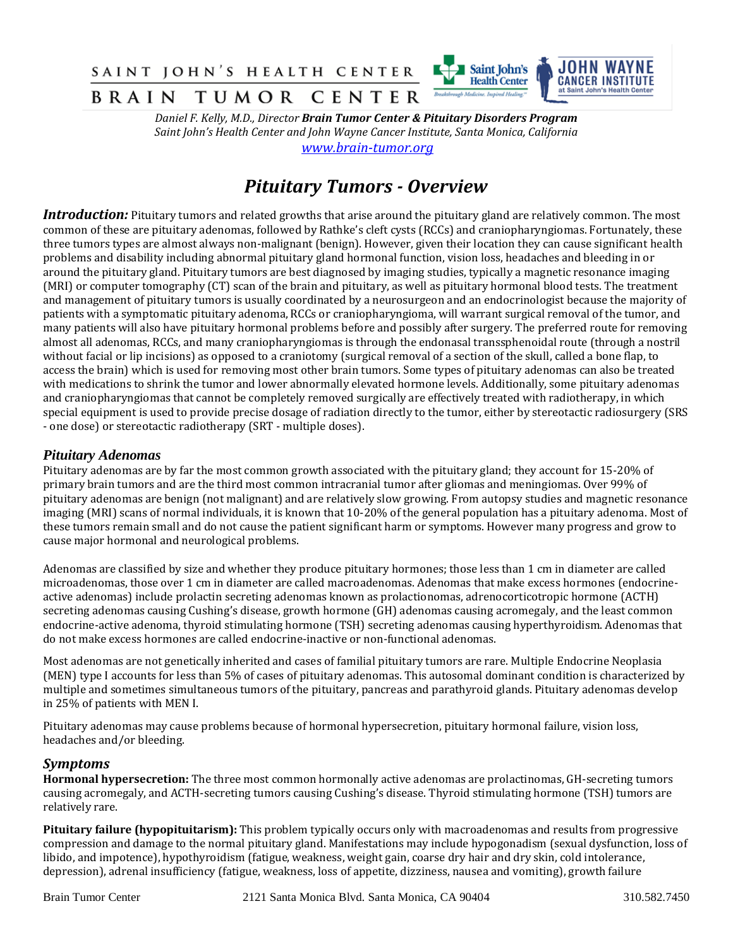SAINT JOHN'S HEALTH CENTER



*B* **R A I N T U M O R C E N T E R** *<sup><i>Entationegh Medicine, Impired Heating***<sup>=</sup> <b>I at Salt** *Daniel F. Kelly, M.D., Director <b>Brain Tumor Center & Pituitary Disorders Program*</sup> *Saint John's Health Center and John Wayne Cancer Institute, Santa Monica, California [www.brain-tumor.org](http://www.brain-tumor.org/)*

# *Pituitary Tumors - Overview*

*Introduction:* Pituitary tumors and related growths that arise around the pituitary gland are relatively common. The most common of these are pituitary adenomas, followed by Rathke's cleft cysts (RCCs) and craniopharyngiomas. Fortunately, these three tumors types are almost always non-malignant (benign). However, given their location they can cause significant health problems and disability including abnormal pituitary gland hormonal function, vision loss, headaches and bleeding in or around the pituitary gland. Pituitary tumors are best diagnosed by imaging studies, typically a magnetic resonance imaging (MRI) or computer tomography (CT) scan of the brain and pituitary, as well as pituitary hormonal blood tests. The treatment and management of pituitary tumors is usually coordinated by a neurosurgeon and an endocrinologist because the majority of patients with a symptomatic pituitary adenoma, RCCs or craniopharyngioma, will warrant surgical removal of the tumor, and many patients will also have pituitary hormonal problems before and possibly after surgery. The preferred route for removing almost all adenomas, RCCs, and many craniopharyngiomas is through the endonasal transsphenoidal route (through a nostril without facial or lip incisions) as opposed to a craniotomy (surgical removal of a section of the skull, called a bone flap, to access the brain) which is used for removing most other brain tumors. Some types of pituitary adenomas can also be treated with medications to shrink the tumor and lower abnormally elevated hormone levels. Additionally, some pituitary adenomas and craniopharyngiomas that cannot be completely removed surgically are effectively treated with radiotherapy, in which special equipment is used to provide precise dosage of radiation directly to the tumor, either by stereotactic radiosurgery (SRS - one dose) or stereotactic radiotherapy (SRT - multiple doses).

## *Pituitary Adenomas*

Pituitary adenomas are by far the most common growth associated with the pituitary gland; they account for 15-20% of primary brain tumors and are the third most common intracranial tumor after gliomas and meningiomas. Over 99% of pituitary adenomas are benign (not malignant) and are relatively slow growing. From autopsy studies and magnetic resonance imaging (MRI) scans of normal individuals, it is known that 10-20% of the general population has a pituitary adenoma. Most of these tumors remain small and do not cause the patient significant harm or symptoms. However many progress and grow to cause major hormonal and neurological problems.

Adenomas are classified by size and whether they produce pituitary hormones; those less than 1 cm in diameter are called microadenomas, those over 1 cm in diameter are called macroadenomas. Adenomas that make excess hormones (endocrineactive adenomas) include prolactin secreting adenomas known as prolactionomas, adrenocorticotropic hormone (ACTH) secreting adenomas causing Cushing's disease, growth hormone (GH) adenomas causing acromegaly, and the least common endocrine-active adenoma, thyroid stimulating hormone (TSH) secreting adenomas causing hyperthyroidism. Adenomas that do not make excess hormones are called endocrine-inactive or non-functional adenomas.

Most adenomas are not genetically inherited and cases of familial pituitary tumors are rare. Multiple Endocrine Neoplasia (MEN) type I accounts for less than 5% of cases of pituitary adenomas. This autosomal dominant condition is characterized by multiple and sometimes simultaneous tumors of the pituitary, pancreas and parathyroid glands. Pituitary adenomas develop in 25% of patients with MEN I.

Pituitary adenomas may cause problems because of hormonal hypersecretion, pituitary hormonal failure, vision loss, headaches and/or bleeding.

## *Symptoms*

**Hormonal hypersecretion:** The three most common hormonally active adenomas are prolactinomas, GH-secreting tumors causing acromegaly, and ACTH-secreting tumors causing Cushing's disease. Thyroid stimulating hormone (TSH) tumors are relatively rare.

**Pituitary failure (hypopituitarism):** This problem typically occurs only with macroadenomas and results from progressive compression and damage to the normal pituitary gland. Manifestations may include hypogonadism (sexual dysfunction, loss of libido, and impotence), hypothyroidism (fatigue, weakness, weight gain, coarse dry hair and dry skin, cold intolerance, depression), adrenal insufficiency (fatigue, weakness, loss of appetite, dizziness, nausea and vomiting), growth failure